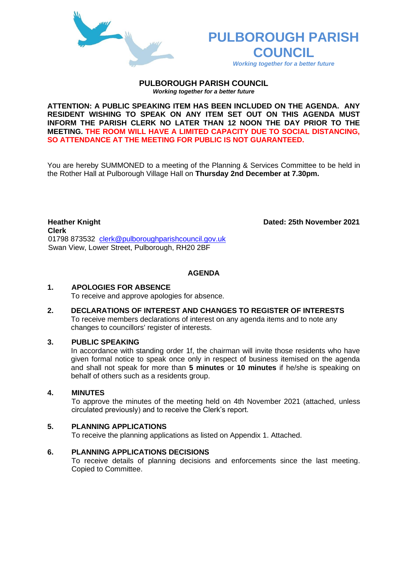

# **PULBOROUGH PARISH COUNCIL**

*Working together for a better future*

#### **PULBOROUGH PARISH COUNCIL** *Working together for a better future*

**ATTENTION: A PUBLIC SPEAKING ITEM HAS BEEN INCLUDED ON THE AGENDA. ANY RESIDENT WISHING TO SPEAK ON ANY ITEM SET OUT ON THIS AGENDA MUST INFORM THE PARISH CLERK NO LATER THAN 12 NOON THE DAY PRIOR TO THE MEETING. THE ROOM WILL HAVE A LIMITED CAPACITY DUE TO SOCIAL DISTANCING, SO ATTENDANCE AT THE MEETING FOR PUBLIC IS NOT GUARANTEED.**

You are hereby SUMMONED to a meeting of the Planning & Services Committee to be held in the Rother Hall at Pulborough Village Hall on **Thursday 2nd December at 7.30pm.** 

**Heather Knight Dated: 25th November 2021 Clerk**  01798 873532 [clerk@pulboroughparishcouncil.gov.uk](mailto:clerk@pulboroughparishcouncil.gov.uk) Swan View, Lower Street, Pulborough, RH20 2BF

# **AGENDA**

## **1. APOLOGIES FOR ABSENCE**

To receive and approve apologies for absence.

**2. DECLARATIONS OF INTEREST AND CHANGES TO REGISTER OF INTERESTS** To receive members declarations of interest on any agenda items and to note any changes to councillors' register of interests.

## **3. PUBLIC SPEAKING**

In accordance with standing order 1f, the chairman will invite those residents who have given formal notice to speak once only in respect of business itemised on the agenda and shall not speak for more than **5 minutes** or **10 minutes** if he/she is speaking on behalf of others such as a residents group.

# **4. MINUTES**

To approve the minutes of the meeting held on 4th November 2021 (attached, unless circulated previously) and to receive the Clerk's report.

## **5. PLANNING APPLICATIONS**

To receive the planning applications as listed on Appendix 1. Attached.

## **6. PLANNING APPLICATIONS DECISIONS**

To receive details of planning decisions and enforcements since the last meeting. Copied to Committee.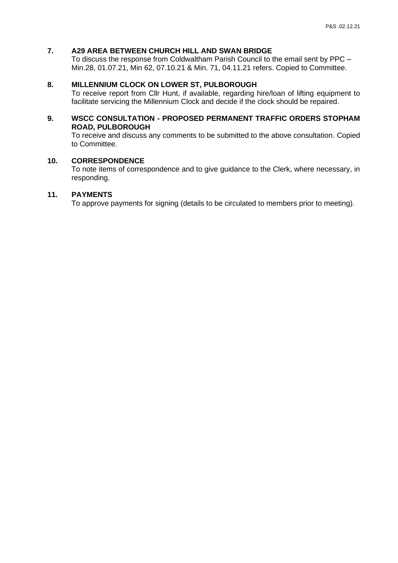# **7. A29 AREA BETWEEN CHURCH HILL AND SWAN BRIDGE**

To discuss the response from Coldwaltham Parish Council to the email sent by PPC – Min.28, 01.07.21, Min 62, 07.10.21 & Min. 71, 04.11.21 refers. Copied to Committee.

# **8. MILLENNIUM CLOCK ON LOWER ST, PULBOROUGH**

To receive report from Cllr Hunt, if available, regarding hire/loan of lifting equipment to facilitate servicing the Millennium Clock and decide if the clock should be repaired.

## **9. WSCC CONSULTATION - PROPOSED PERMANENT TRAFFIC ORDERS STOPHAM ROAD, PULBOROUGH**

To receive and discuss any comments to be submitted to the above consultation. Copied to Committee.

# **10. CORRESPONDENCE**

To note items of correspondence and to give guidance to the Clerk, where necessary, in responding.

# **11. PAYMENTS**

To approve payments for signing (details to be circulated to members prior to meeting).